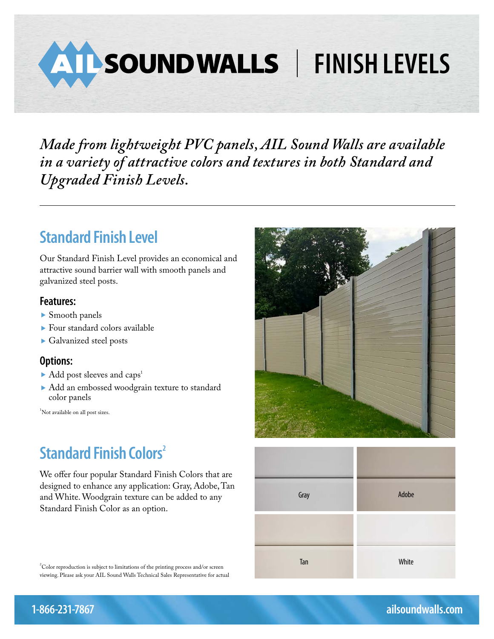**FINISH LEVELS** 

*Made from lightweight PVC panels, AIL Sound Walls are available in a variety of attractive colors and textures in both Standard and Upgraded Finish Levels.*

## **Standard Finish Level**

Our Standard Finish Level provides an economical and attractive sound barrier wall with smooth panels and galvanized steel posts.

#### **Features:**

- ▶ Smooth panels
- Four standard colors available
- Galvanized steel posts

#### **Options:**

- Add post sleeves and caps<sup>1</sup>
- Add an embossed woodgrain texture to standard color panels

1 Not available on all post sizes.

# **Standard Finish Colors<sup>2</sup>**

We offer four popular Standard Finish Colors that are designed to enhance any application: Gray, Adobe, Tan and White. Woodgrain texture can be added to any Standard Finish Color as an option.

 $2^2$ Color reproduction is subject to limitations of the printing process and/or screen viewing. Please ask your AIL Sound Walls Technical Sales Representative for actual